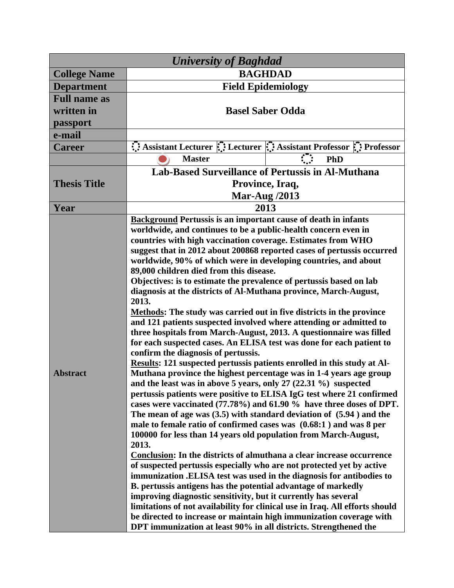| <b>BAGHDAD</b><br><b>College Name</b><br><b>Field Epidemiology</b><br><b>Department</b><br><b>Full name as</b><br>written in<br><b>Basel Saber Odda</b><br>passport<br>e-mail<br>Assistant Lecturer :: Lecturer : Assistant Professor :: Professor<br><b>Career</b><br>$\overline{C}$<br><b>Master</b><br>PhD<br><b>Lab-Based Surveillance of Pertussis in Al-Muthana</b><br><b>Thesis Title</b><br>Province, Iraq,<br><b>Mar-Aug /2013</b><br>2013<br>Year<br><b>Background Pertussis is an important cause of death in infants</b><br>worldwide, and continues to be a public-health concern even in<br>countries with high vaccination coverage. Estimates from WHO<br>worldwide, 90% of which were in developing countries, and about<br>89,000 children died from this disease.<br>Objectives: is to estimate the prevalence of pertussis based on lab<br>diagnosis at the districts of Al-Muthana province, March-August,<br>2013.<br><b>Methods:</b> The study was carried out in five districts in the province<br>and 121 patients suspected involved where attending or admitted to<br>three hospitals from March-August, 2013. A questionnaire was filled<br>for each suspected cases. An ELISA test was done for each patient to<br>confirm the diagnosis of pertussis.<br>Results: 121 suspected pertussis patients enrolled in this study at Al-<br><b>Abstract</b><br>Muthana province the highest percentage was in 1-4 years age group<br>and the least was in above 5 years, only $27$ (22.31 %) suspected<br>The mean of age was $(3.5)$ with standard deviation of $(5.94)$ and the<br>male to female ratio of confirmed cases was (0.68:1) and was 8 per<br>100000 for less than 14 years old population from March-August,<br>2013.<br>Conclusion: In the districts of almuthana a clear increase occurrence | <b>University of Baghdad</b> |                                                                                                                                                                                                                                                                                                 |  |  |
|------------------------------------------------------------------------------------------------------------------------------------------------------------------------------------------------------------------------------------------------------------------------------------------------------------------------------------------------------------------------------------------------------------------------------------------------------------------------------------------------------------------------------------------------------------------------------------------------------------------------------------------------------------------------------------------------------------------------------------------------------------------------------------------------------------------------------------------------------------------------------------------------------------------------------------------------------------------------------------------------------------------------------------------------------------------------------------------------------------------------------------------------------------------------------------------------------------------------------------------------------------------------------------------------------------------------------------------------------------------------------------------------------------------------------------------------------------------------------------------------------------------------------------------------------------------------------------------------------------------------------------------------------------------------------------------------------------------------------------------------------------------------------------------------------------------------------------|------------------------------|-------------------------------------------------------------------------------------------------------------------------------------------------------------------------------------------------------------------------------------------------------------------------------------------------|--|--|
|                                                                                                                                                                                                                                                                                                                                                                                                                                                                                                                                                                                                                                                                                                                                                                                                                                                                                                                                                                                                                                                                                                                                                                                                                                                                                                                                                                                                                                                                                                                                                                                                                                                                                                                                                                                                                                    |                              |                                                                                                                                                                                                                                                                                                 |  |  |
|                                                                                                                                                                                                                                                                                                                                                                                                                                                                                                                                                                                                                                                                                                                                                                                                                                                                                                                                                                                                                                                                                                                                                                                                                                                                                                                                                                                                                                                                                                                                                                                                                                                                                                                                                                                                                                    |                              |                                                                                                                                                                                                                                                                                                 |  |  |
|                                                                                                                                                                                                                                                                                                                                                                                                                                                                                                                                                                                                                                                                                                                                                                                                                                                                                                                                                                                                                                                                                                                                                                                                                                                                                                                                                                                                                                                                                                                                                                                                                                                                                                                                                                                                                                    |                              |                                                                                                                                                                                                                                                                                                 |  |  |
|                                                                                                                                                                                                                                                                                                                                                                                                                                                                                                                                                                                                                                                                                                                                                                                                                                                                                                                                                                                                                                                                                                                                                                                                                                                                                                                                                                                                                                                                                                                                                                                                                                                                                                                                                                                                                                    |                              |                                                                                                                                                                                                                                                                                                 |  |  |
|                                                                                                                                                                                                                                                                                                                                                                                                                                                                                                                                                                                                                                                                                                                                                                                                                                                                                                                                                                                                                                                                                                                                                                                                                                                                                                                                                                                                                                                                                                                                                                                                                                                                                                                                                                                                                                    |                              |                                                                                                                                                                                                                                                                                                 |  |  |
|                                                                                                                                                                                                                                                                                                                                                                                                                                                                                                                                                                                                                                                                                                                                                                                                                                                                                                                                                                                                                                                                                                                                                                                                                                                                                                                                                                                                                                                                                                                                                                                                                                                                                                                                                                                                                                    |                              |                                                                                                                                                                                                                                                                                                 |  |  |
|                                                                                                                                                                                                                                                                                                                                                                                                                                                                                                                                                                                                                                                                                                                                                                                                                                                                                                                                                                                                                                                                                                                                                                                                                                                                                                                                                                                                                                                                                                                                                                                                                                                                                                                                                                                                                                    |                              |                                                                                                                                                                                                                                                                                                 |  |  |
|                                                                                                                                                                                                                                                                                                                                                                                                                                                                                                                                                                                                                                                                                                                                                                                                                                                                                                                                                                                                                                                                                                                                                                                                                                                                                                                                                                                                                                                                                                                                                                                                                                                                                                                                                                                                                                    |                              |                                                                                                                                                                                                                                                                                                 |  |  |
|                                                                                                                                                                                                                                                                                                                                                                                                                                                                                                                                                                                                                                                                                                                                                                                                                                                                                                                                                                                                                                                                                                                                                                                                                                                                                                                                                                                                                                                                                                                                                                                                                                                                                                                                                                                                                                    |                              |                                                                                                                                                                                                                                                                                                 |  |  |
|                                                                                                                                                                                                                                                                                                                                                                                                                                                                                                                                                                                                                                                                                                                                                                                                                                                                                                                                                                                                                                                                                                                                                                                                                                                                                                                                                                                                                                                                                                                                                                                                                                                                                                                                                                                                                                    |                              |                                                                                                                                                                                                                                                                                                 |  |  |
|                                                                                                                                                                                                                                                                                                                                                                                                                                                                                                                                                                                                                                                                                                                                                                                                                                                                                                                                                                                                                                                                                                                                                                                                                                                                                                                                                                                                                                                                                                                                                                                                                                                                                                                                                                                                                                    |                              |                                                                                                                                                                                                                                                                                                 |  |  |
|                                                                                                                                                                                                                                                                                                                                                                                                                                                                                                                                                                                                                                                                                                                                                                                                                                                                                                                                                                                                                                                                                                                                                                                                                                                                                                                                                                                                                                                                                                                                                                                                                                                                                                                                                                                                                                    |                              |                                                                                                                                                                                                                                                                                                 |  |  |
| immunization .ELISA test was used in the diagnosis for antibodies to<br>B. pertussis antigens has the potential advantage of markedly<br>improving diagnostic sensitivity, but it currently has several<br>limitations of not availability for clinical use in Iraq. All efforts should<br>be directed to increase or maintain high immunization coverage with                                                                                                                                                                                                                                                                                                                                                                                                                                                                                                                                                                                                                                                                                                                                                                                                                                                                                                                                                                                                                                                                                                                                                                                                                                                                                                                                                                                                                                                                     |                              | suggest that in 2012 about 200868 reported cases of pertussis occurred<br>pertussis patients were positive to ELISA IgG test where 21 confirmed<br>cases were vaccinated (77.78%) and 61.90 % have three doses of DPT.<br>of suspected pertussis especially who are not protected yet by active |  |  |